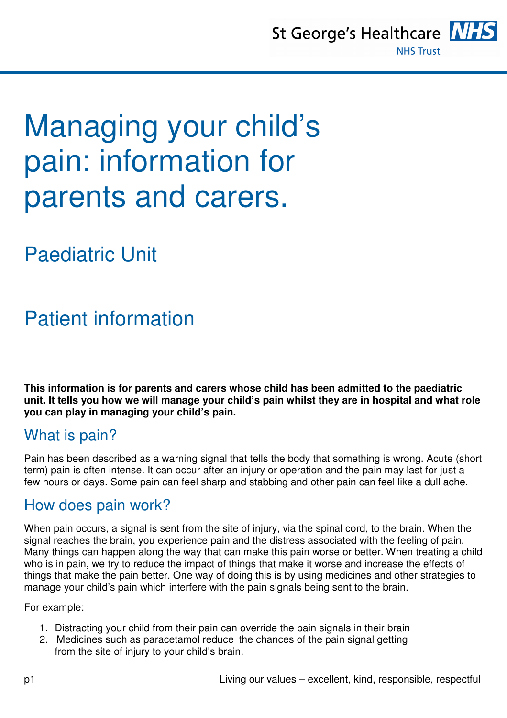St George's Healthcare NH **NHS Trust** 



# Managing your child's pain: information for parents and carers.

Paediatric Unit

## Patient information

**This information is for parents and carers whose child has been admitted to the paediatric unit. It tells you how we will manage your child's pain whilst they are in hospital and what role you can play in managing your child's pain.** 

#### What is pain?

Pain has been described as a warning signal that tells the body that something is wrong. Acute (short term) pain is often intense. It can occur after an injury or operation and the pain may last for just a few hours or days. Some pain can feel sharp and stabbing and other pain can feel like a dull ache.

#### How does pain work?

When pain occurs, a signal is sent from the site of injury, via the spinal cord, to the brain. When the signal reaches the brain, you experience pain and the distress associated with the feeling of pain. Many things can happen along the way that can make this pain worse or better. When treating a child who is in pain, we try to reduce the impact of things that make it worse and increase the effects of things that make the pain better. One way of doing this is by using medicines and other strategies to manage your child's pain which interfere with the pain signals being sent to the brain.

For example:

- 1. Distracting your child from their pain can override the pain signals in their brain
- 2. Medicines such as paracetamol reduce the chances of the pain signal getting from the site of injury to your child's brain.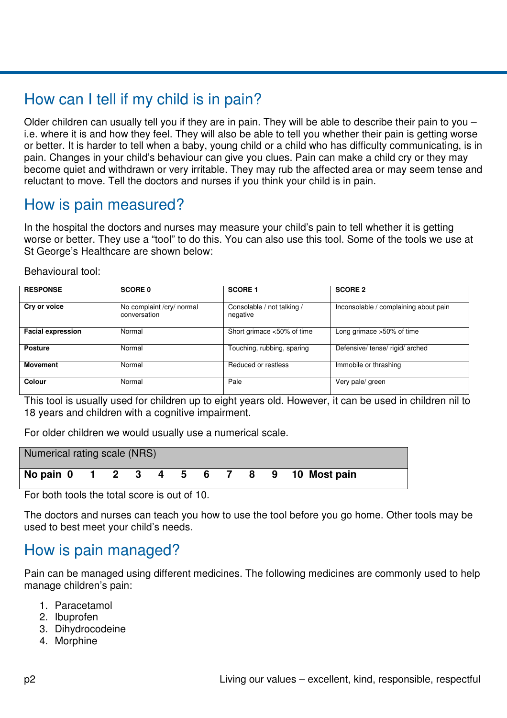### How can I tell if my child is in pain?

Older children can usually tell you if they are in pain. They will be able to describe their pain to you – i.e. where it is and how they feel. They will also be able to tell you whether their pain is getting worse or better. It is harder to tell when a baby, young child or a child who has difficulty communicating, is in pain. Changes in your child's behaviour can give you clues. Pain can make a child cry or they may become quiet and withdrawn or very irritable. They may rub the affected area or may seem tense and reluctant to move. Tell the doctors and nurses if you think your child is in pain.

#### How is pain measured?

In the hospital the doctors and nurses may measure your child's pain to tell whether it is getting worse or better. They use a "tool" to do this. You can also use this tool. Some of the tools we use at St George's Healthcare are shown below:

Behavioural tool:

| <b>RESPONSE</b>          | <b>SCORE 0</b>                            | <b>SCORE 1</b>                         | <b>SCORE 2</b>                        |
|--------------------------|-------------------------------------------|----------------------------------------|---------------------------------------|
| Cry or voice             | No complaint /cry/ normal<br>conversation | Consolable / not talking /<br>negative | Inconsolable / complaining about pain |
| <b>Facial expression</b> | Normal                                    | Short grimace <50% of time             | Long grimace $>50\%$ of time          |
| <b>Posture</b>           | Normal                                    | Touching, rubbing, sparing             | Defensive/tense/rigid/arched          |
| <b>Movement</b>          | Normal                                    | Reduced or restless                    | Immobile or thrashing                 |
| Colour                   | Normal                                    | Pale                                   | Very pale/ green                      |

This tool is usually used for children up to eight years old. However, it can be used in children nil to 18 years and children with a cognitive impairment.

For older children we would usually use a numerical scale.

| Numerical rating scale (NRS) |  |  |  |  |  |  |  |  |  |                                          |
|------------------------------|--|--|--|--|--|--|--|--|--|------------------------------------------|
|                              |  |  |  |  |  |  |  |  |  | No pain 0 1 2 3 4 5 6 7 8 9 10 Most pain |

For both tools the total score is out of 10.

The doctors and nurses can teach you how to use the tool before you go home. Other tools may be used to best meet your child's needs.

#### How is pain managed?

Pain can be managed using different medicines. The following medicines are commonly used to help manage children's pain:

- 1. Paracetamol
- 2. Ibuprofen
- 3. Dihydrocodeine
- 4. Morphine